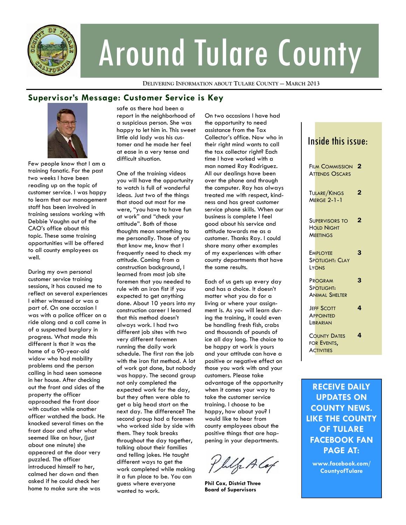

# Around Tulare County

**DELIVERING INFORMATION ABOUT TULARE COUNTY — MARCH 2013**

## **Supervisor's Message: Customer Service is Key**



Few people know that I am a training fanatic. For the past two weeks I have been reading up on the topic of customer service. I was happy to learn that our management staff has been involved in training sessions working with Debbie Vaughn out of the CAO's office about this topic. These same training opportunities will be offered to all county employees as well.

During my own personal customer service training sessions, it has caused me to reflect on several experiences I either witnessed or was a part of. On one occasion I was with a police officer on a ride along and a call came in of a suspected burglary in progress. What made this different is that it was the home of a 90-year-old widow who had mobility problems and the person calling in had seen someone in her house. After checking out the front and sides of the property the officer approached the front door with caution while another officer watched the back. He knocked several times on the front door and after what seemed like an hour, (just about one minute) she appeared at the door very puzzled. The officer introduced himself to her, calmed her down and then asked if he could check her home to make sure she was

safe as there had been a report in the neighborhood of a suspicious person. She was happy to let him in. This sweet little old lady was his customer and he made her feel at ease in a very tense and difficult situation.

One of the training videos you will have the opportunity to watch is full of wonderful ideas. Just two of the things that stood out most for me were, "you have to have fun at work" and "check your attitude". Both of those thoughts mean something to me personally. Those of you that know me, know that I frequently need to check my attitude. Coming from a construction background, I learned from most job site foremen that you needed to rule with an iron fist if you expected to get anything done. About 10 years into my construction career I learned that this method doesn't always work. I had two different job sites with two very different foremen running the daily work schedule. The first ran the job with the iron fist method. A lot of work got done, but nobody was happy. The second group not only completed the expected work for the day, but they often were able to get a big head start on the next day. The difference? The second group had a foremen who worked side by side with them. They took breaks throughout the day together, talking about their families and telling jokes. He taught different ways to get the work completed while making it a fun place to be. You can guess where everyone wanted to work.

On two occasions I have had the opportunity to need assistance from the Tax Collector's office. Now who in their right mind wants to call the tax collector right? Each time I have worked with a man named Ray Rodriguez. All our dealings have been over the phone and through the computer. Ray has always treated me with respect, kindness and has great customer service phone skills. When our business is complete I feel good about his service and attitude towards me as a customer. Thanks Ray. I could share many other examples of my experiences with other county departments that have the same results.

Each of us gets up every day and has a choice. It doesn't matter what you do for a living or where your assignment is. As you will learn during the training, it could even be handling fresh fish, crabs and thousands of pounds of ice all day long. The choice to be happy at work is yours and your attitude can have a positive or negative effect on those you work with and your customers. Please take advantage of the opportunity when it comes your way to take the customer service training. I choose to be happy, how about you? I would like to hear from county employees about the positive things that are happening in your departments.

Philo A Cap

**Phil Cox, District Three Board of Supervisors** 

| Inside this issue:                                            |                |
|---------------------------------------------------------------|----------------|
| <b>FILM COMMISSION</b><br><b>ATTENDS OSCARS</b>               | 2              |
| <b>TULARE/KINGS</b><br><b>MERGE 2-1-1</b>                     | $\overline{2}$ |
| <b>SUPERVISORS TO</b><br><b>HOLD NIGHT</b><br><b>MEETINGS</b> | 2              |
| <b>EMPLOYEE</b><br>Spotlight: Clay<br>LYONS                   | 3              |
| PROGRAM<br><b>SPOTLIGHT:</b><br><b>ANIMAL SHELTER</b>         | 3              |
| <b>JEFF SCOTT</b><br><b>APPOINTED</b><br><b>LIBRARIAN</b>     | 4              |
| <b>COUNTY DATES</b><br>FOR EVENTS,<br><b>ACTIVITIES</b>       | 4              |
|                                                               |                |

**RECEIVE DAILY UPDATES ON COUNTY NEWS. LIKE THE COUNTY OF TULARE FACEBOOK FAN PAGE AT:** 

**www.facebook.com/ CountyofTulare**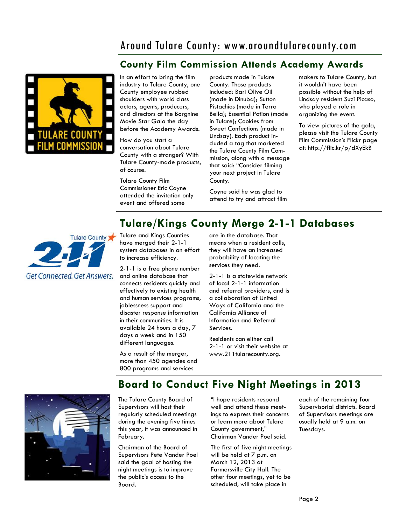# Around Tulare County: www.aroundtularecounty.com

# **County Film Commission Attends Academy Awards**



In an effort to bring the film industry to Tulare County, one County employee rubbed shoulders with world class actors, agents, producers, and directors at the Borgnine Movie Star Gala the day before the Academy Awards.

How do you start a conversation about Tulare County with a stranger? With Tulare County-made products, of course.

Tulare County Film Commissioner Eric Coyne attended the invitation only event and offered some

products made in Tulare County. Those products included: Bari Olive Oil (made in Dinuba); Sutton Pistachios (made in Terra Bella); Essential Potion (made in Tulare); Cookies from Sweet Confections (made in Lindsay). Each product included a tag that marketed the Tulare County Film Commission, along with a message that said: "Consider filming your next project in Tulare County.

Coyne said he was glad to attend to try and attract film makers to Tulare County, but it wouldn't have been possible without the help of Lindsay resident Suzi Picaso, who played a role in organizing the event.

To view pictures of the gala, please visit the Tulare County Film Commission's Flickr page at: http://flic.kr/p/dXyEkB

# **Tulare/Kings County Merge 2-1-1 Databases**



Tulare and Kings Counties have merged their 2-1-1 system databases in an effort to increase efficiency.

2-1-1 is a free phone number and online database that connects residents quickly and effectively to existing health and human services programs, joblessness support and disaster response information in their communities. It is available 24 hours a day, 7 days a week and in 150 different languages.

are in the database. That means when a resident calls, they will have an increased probability of locating the services they need.

2-1-1 is a statewide network of local 2-1-1 information and referral providers, and is a collaboration of United Ways of California and the California Alliance of Information and Referral Services.

Residents can either call 2-1-1 or visit their website at www.211tularecounty.org.

As a result of the merger, more than 450 agencies and 800 programs and services

**Board to Conduct Five Night Meetings in 2013** 



"I hope residents respond well and attend these meet-The Tulare County Board of Supervisors will host their

regularly scheduled meetings during the evening five times this year, it was announced in February.

Chairman of the Board of Supervisors Pete Vander Poel said the goal of hosting the night meetings is to improve the public's access to the Board.

ings to express their concerns or learn more about Tulare County government," Chairman Vander Poel said.

The first of five night meetings will be held at 7 p.m. on March 12, 2013 at Farmersville City Hall. The other four meetings, yet to be scheduled, will take place in

each of the remaining four Supervisorial districts. Board of Supervisors meetings are usually held at 9 a.m. on Tuesdays.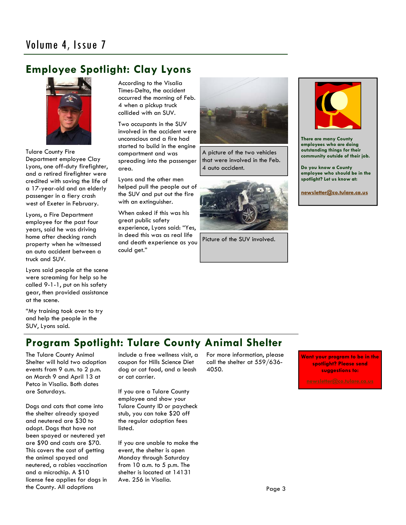# **Employee Spotlight: Clay Lyons**



Tulare County Fire Department employee Clay Lyons, one off-duty firefighter, and a retired firefighter were credited with saving the life of a 17-year-old and an elderly passenger in a fiery crash west of Exeter in February.

Lyons, a Fire Department employee for the past four years, said he was driving home after checking ranch property when he witnessed an auto accident between a truck and SUV.

Lyons said people at the scene were screaming for help so he called 9-1-1, put on his safety gear, then provided assistance at the scene.

"My training took over to try and help the people in the SUV, Lyons said.

According to the Visalia Times-Delta, the accident occurred the morning of Feb. 4 when a pickup truck collided with an SUV.

Two occupants in the SUV involved in the accident were unconscious and a fire had started to build in the engine compartment and was spreading into the passenger area.

Lyons and the other men helped pull the people out of the SUV and put out the fire with an extinguisher.

When asked if this was his great public safety experience, Lyons said: "Yes, in deed this was as real life and death experience as you could get."



A picture of the two vehicles that were involved in the Feb. 4 auto accident.



Picture of the SUV involved.



**There are many County employees who are doing outstanding things for their community outside of their job.** 

**Do you know a County employee who should be in the spotlight? Let us know at:** 

**newsletter@co.tulare.ca.us**

# **Program Spotlight: Tulare County Animal Shelter**

The Tulare County Animal Shelter will hold two adoption events from 9 a.m. to 2 p.m. on March 9 and April 13 at Petco in Visalia. Both dates are Saturdays.

Dogs and cats that come into the shelter already spayed and neutered are \$30 to adopt. Dogs that have not been spayed or neutered yet are \$90 and casts are \$70. This covers the cost of getting the animal spayed and neutered, a rabies vaccination and a microchip. A \$10 license fee applies for dogs in the County. All adoptions

include a free wellness visit, a coupon for Hills Science Diet dog or cat food, and a leash or cat carrier.

If you are a Tulare County employee and show your Tulare County ID or paycheck stub, you can take \$20 off the regular adoption fees listed.

If you are unable to make the event, the shelter is open Monday through Saturday from 10 a.m. to 5 p.m. The shelter is located at 14131 Ave. 256 in Visalia.

For more information, please call the shelter at 559/636- 4050.

**Want your program to be in the spotlight? Please send suggestions to:**